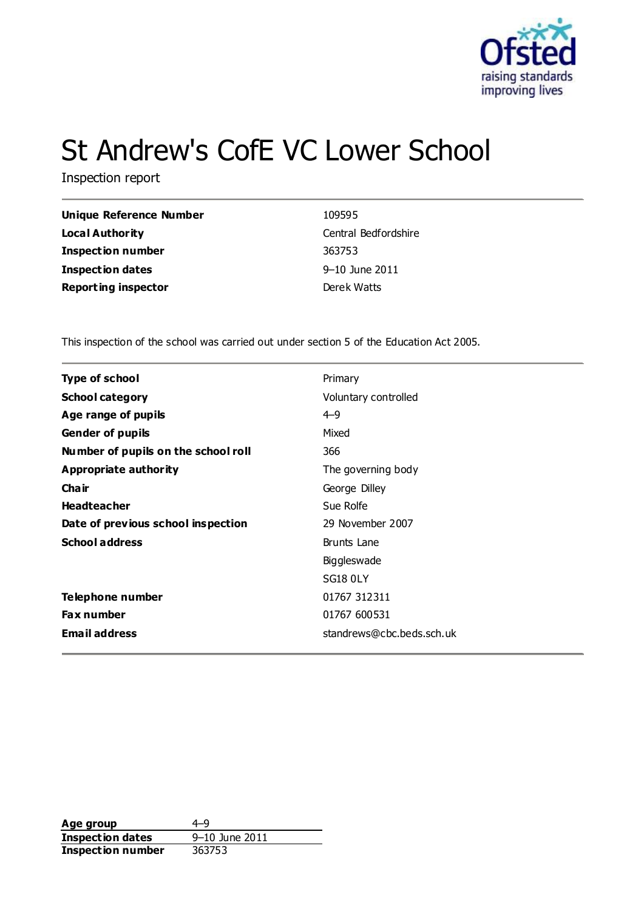

# St Andrew's CofE VC Lower School

Inspection report

| Unique Reference Number    | 109595               |
|----------------------------|----------------------|
| <b>Local Authority</b>     | Central Bedfordshire |
| <b>Inspection number</b>   | 363753               |
| <b>Inspection dates</b>    | 9-10 June 2011       |
| <b>Reporting inspector</b> | Derek Watts          |

This inspection of the school was carried out under section 5 of the Education Act 2005.

| <b>Type of school</b>               | Primary                   |
|-------------------------------------|---------------------------|
| <b>School category</b>              | Voluntary controlled      |
| Age range of pupils                 | $4 - 9$                   |
| <b>Gender of pupils</b>             | Mixed                     |
| Number of pupils on the school roll | 366                       |
| Appropriate authority               | The governing body        |
| Cha ir                              | George Dilley             |
| <b>Headteacher</b>                  | Sue Rolfe                 |
| Date of previous school inspection  | 29 November 2007          |
| <b>School address</b>               | <b>Brunts Lane</b>        |
|                                     | Biggleswade               |
|                                     | <b>SG18 0LY</b>           |
| Telephone number                    | 01767 312311              |
| <b>Fax number</b>                   | 01767 600531              |
| <b>Email address</b>                | standrews@cbc.beds.sch.uk |

**Age group** 4–9<br> **Inspection dates** 9–10 June 2011 **Inspection dates Inspection number** 363753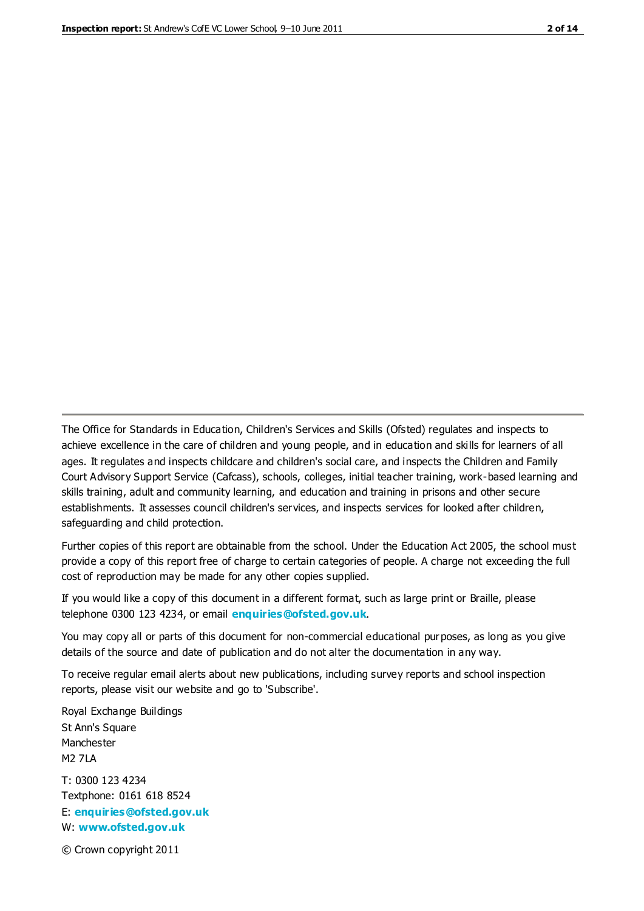The Office for Standards in Education, Children's Services and Skills (Ofsted) regulates and inspects to achieve excellence in the care of children and young people, and in education and skills for learners of all ages. It regulates and inspects childcare and children's social care, and inspects the Children and Family Court Advisory Support Service (Cafcass), schools, colleges, initial teacher training, work-based learning and skills training, adult and community learning, and education and training in prisons and other secure establishments. It assesses council children's services, and inspects services for looked after children, safeguarding and child protection.

Further copies of this report are obtainable from the school. Under the Education Act 2005, the school must provide a copy of this report free of charge to certain categories of people. A charge not exceeding the full cost of reproduction may be made for any other copies supplied.

If you would like a copy of this document in a different format, such as large print or Braille, please telephone 0300 123 4234, or email **[enquiries@ofsted.gov.uk](mailto:enquiries@ofsted.gov.uk)**.

You may copy all or parts of this document for non-commercial educational purposes, as long as you give details of the source and date of publication and do not alter the documentation in any way.

To receive regular email alerts about new publications, including survey reports and school inspection reports, please visit our website and go to 'Subscribe'.

Royal Exchange Buildings St Ann's Square Manchester M2 7LA T: 0300 123 4234 Textphone: 0161 618 8524 E: **[enquiries@ofsted.gov.uk](mailto:enquiries@ofsted.gov.uk)**

W: **[www.ofsted.gov.uk](http://www.ofsted.gov.uk/)**

© Crown copyright 2011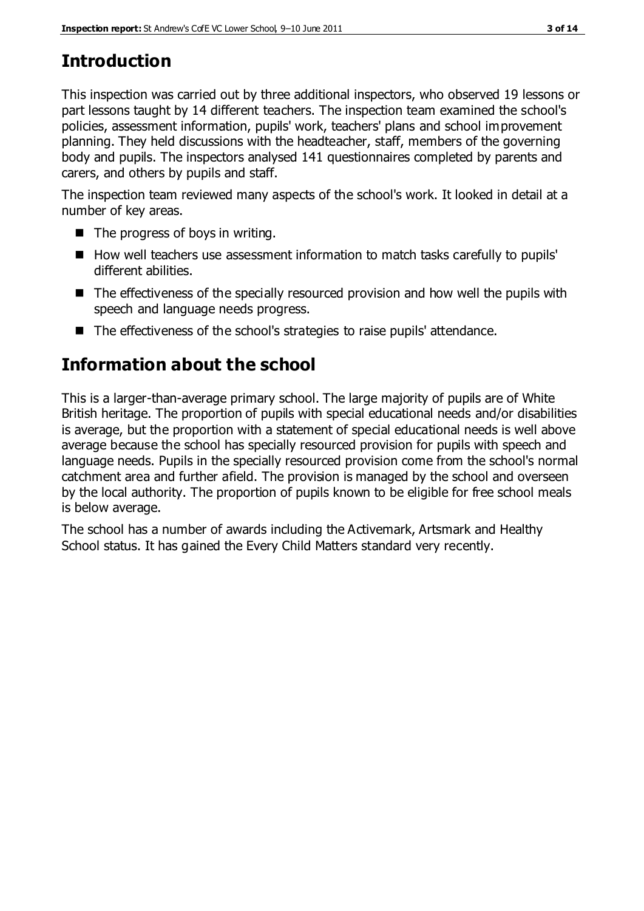# **Introduction**

This inspection was carried out by three additional inspectors, who observed 19 lessons or part lessons taught by 14 different teachers. The inspection team examined the school's policies, assessment information, pupils' work, teachers' plans and school improvement planning. They held discussions with the headteacher, staff, members of the governing body and pupils. The inspectors analysed 141 questionnaires completed by parents and carers, and others by pupils and staff.

The inspection team reviewed many aspects of the school's work. It looked in detail at a number of key areas.

- $\blacksquare$  The progress of boys in writing.
- How well teachers use assessment information to match tasks carefully to pupils' different abilities.
- The effectiveness of the specially resourced provision and how well the pupils with speech and language needs progress.
- The effectiveness of the school's strategies to raise pupils' attendance.

# **Information about the school**

This is a larger-than-average primary school. The large majority of pupils are of White British heritage. The proportion of pupils with special educational needs and/or disabilities is average, but the proportion with a statement of special educational needs is well above average because the school has specially resourced provision for pupils with speech and language needs. Pupils in the specially resourced provision come from the school's normal catchment area and further afield. The provision is managed by the school and overseen by the local authority. The proportion of pupils known to be eligible for free school meals is below average.

The school has a number of awards including the Activemark, Artsmark and Healthy School status. It has gained the Every Child Matters standard very recently.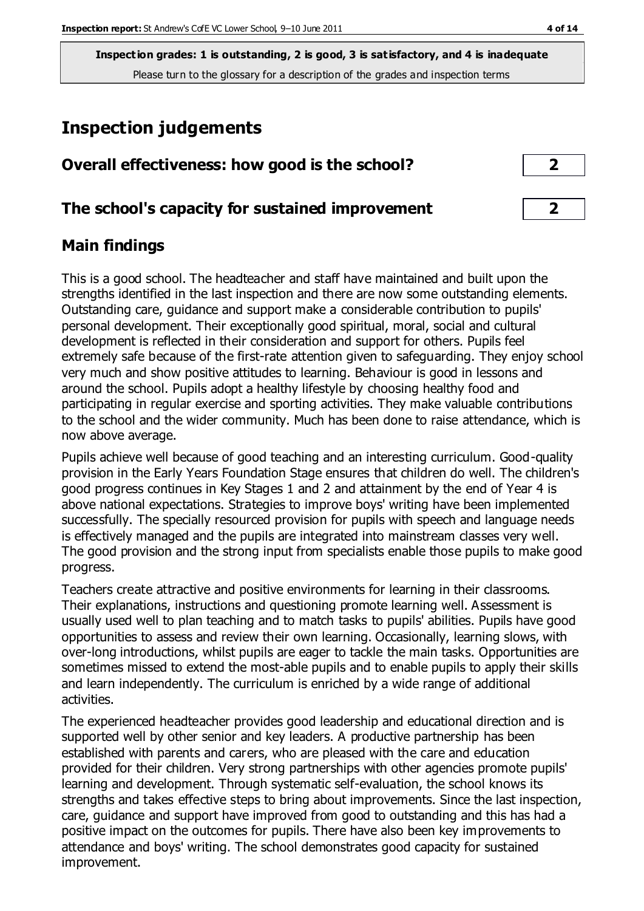# **Inspection judgements**

| Overall effectiveness: how good is the school? |  |
|------------------------------------------------|--|
|                                                |  |

### **The school's capacity for sustained improvement 2**

### **Main findings**

This is a good school. The headteacher and staff have maintained and built upon the strengths identified in the last inspection and there are now some outstanding elements. Outstanding care, guidance and support make a considerable contribution to pupils' personal development. Their exceptionally good spiritual, moral, social and cultural development is reflected in their consideration and support for others. Pupils feel extremely safe because of the first-rate attention given to safeguarding. They enjoy school very much and show positive attitudes to learning. Behaviour is good in lessons and around the school. Pupils adopt a healthy lifestyle by choosing healthy food and participating in regular exercise and sporting activities. They make valuable contributions to the school and the wider community. Much has been done to raise attendance, which is now above average.

Pupils achieve well because of good teaching and an interesting curriculum. Good-quality provision in the Early Years Foundation Stage ensures that children do well. The children's good progress continues in Key Stages 1 and 2 and attainment by the end of Year 4 is above national expectations. Strategies to improve boys' writing have been implemented successfully. The specially resourced provision for pupils with speech and language needs is effectively managed and the pupils are integrated into mainstream classes very well. The good provision and the strong input from specialists enable those pupils to make good progress.

Teachers create attractive and positive environments for learning in their classrooms. Their explanations, instructions and questioning promote learning well. Assessment is usually used well to plan teaching and to match tasks to pupils' abilities. Pupils have good opportunities to assess and review their own learning. Occasionally, learning slows, with over-long introductions, whilst pupils are eager to tackle the main tasks. Opportunities are sometimes missed to extend the most-able pupils and to enable pupils to apply their skills and learn independently. The curriculum is enriched by a wide range of additional activities.

The experienced headteacher provides good leadership and educational direction and is supported well by other senior and key leaders. A productive partnership has been established with parents and carers, who are pleased with the care and education provided for their children. Very strong partnerships with other agencies promote pupils' learning and development. Through systematic self-evaluation, the school knows its strengths and takes effective steps to bring about improvements. Since the last inspection, care, guidance and support have improved from good to outstanding and this has had a positive impact on the outcomes for pupils. There have also been key improvements to attendance and boys' writing. The school demonstrates good capacity for sustained improvement.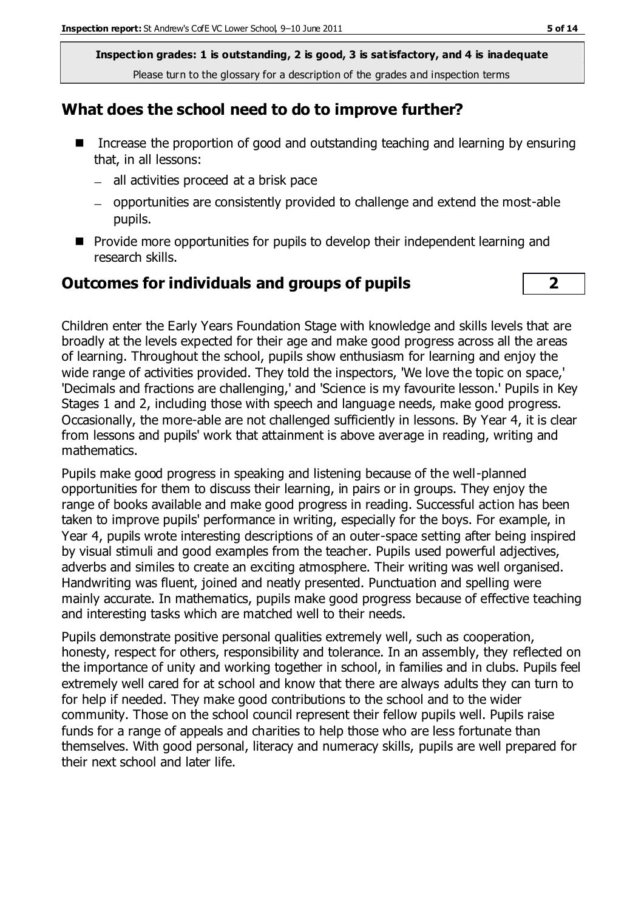#### **What does the school need to do to improve further?**

- Increase the proportion of good and outstanding teaching and learning by ensuring that, in all lessons:
	- $-$  all activities proceed at a brisk pace
	- opportunities are consistently provided to challenge and extend the most-able pupils.
- **Provide more opportunities for pupils to develop their independent learning and** research skills.

### **Outcomes for individuals and groups of pupils 2**

Children enter the Early Years Foundation Stage with knowledge and skills levels that are broadly at the levels expected for their age and make good progress across all the areas of learning. Throughout the school, pupils show enthusiasm for learning and enjoy the wide range of activities provided. They told the inspectors, 'We love the topic on space,' 'Decimals and fractions are challenging,' and 'Science is my favourite lesson.' Pupils in Key Stages 1 and 2, including those with speech and language needs, make good progress. Occasionally, the more-able are not challenged sufficiently in lessons. By Year 4, it is clear from lessons and pupils' work that attainment is above average in reading, writing and mathematics.

Pupils make good progress in speaking and listening because of the well-planned opportunities for them to discuss their learning, in pairs or in groups. They enjoy the range of books available and make good progress in reading. Successful action has been taken to improve pupils' performance in writing, especially for the boys. For example, in Year 4, pupils wrote interesting descriptions of an outer-space setting after being inspired by visual stimuli and good examples from the teacher. Pupils used powerful adjectives, adverbs and similes to create an exciting atmosphere. Their writing was well organised. Handwriting was fluent, joined and neatly presented. Punctuation and spelling were mainly accurate. In mathematics, pupils make good progress because of effective teaching and interesting tasks which are matched well to their needs.

Pupils demonstrate positive personal qualities extremely well, such as cooperation, honesty, respect for others, responsibility and tolerance. In an assembly, they reflected on the importance of unity and working together in school, in families and in clubs. Pupils feel extremely well cared for at school and know that there are always adults they can turn to for help if needed. They make good contributions to the school and to the wider community. Those on the school council represent their fellow pupils well. Pupils raise funds for a range of appeals and charities to help those who are less fortunate than themselves. With good personal, literacy and numeracy skills, pupils are well prepared for their next school and later life.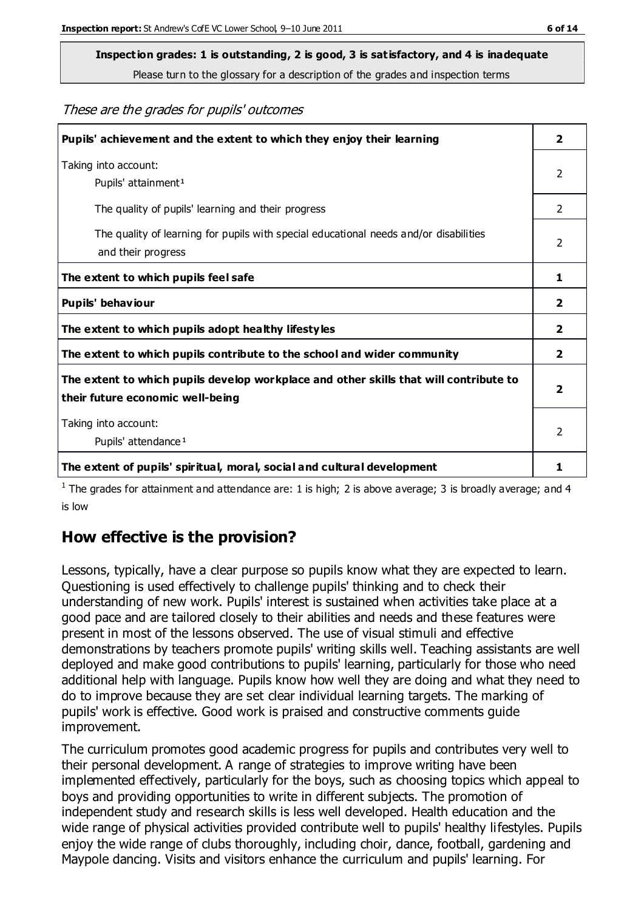# **Inspection grades: 1 is outstanding, 2 is good, 3 is satisfactory, and 4 is inadequate**

Please turn to the glossary for a description of the grades and inspection terms

These are the grades for pupils' outcomes

| Pupils' achievement and the extent to which they enjoy their learning                                                     | $\overline{2}$ |
|---------------------------------------------------------------------------------------------------------------------------|----------------|
| Taking into account:<br>Pupils' attainment <sup>1</sup>                                                                   | 2              |
| The quality of pupils' learning and their progress                                                                        | $\mathcal{P}$  |
| The quality of learning for pupils with special educational needs and/or disabilities<br>and their progress               | $\overline{2}$ |
| The extent to which pupils feel safe                                                                                      | 1              |
| Pupils' behaviour                                                                                                         | 2              |
| The extent to which pupils adopt healthy lifestyles                                                                       | $\overline{2}$ |
| The extent to which pupils contribute to the school and wider community                                                   | $\mathbf{2}$   |
| The extent to which pupils develop workplace and other skills that will contribute to<br>their future economic well-being |                |
| Taking into account:<br>Pupils' attendance <sup>1</sup>                                                                   | $\mathfrak{p}$ |
| The extent of pupils' spiritual, moral, social and cultural development                                                   | 1              |

<sup>1</sup> The grades for attainment and attendance are: 1 is high; 2 is above average; 3 is broadly average; and 4 is low

## **How effective is the provision?**

Lessons, typically, have a clear purpose so pupils know what they are expected to learn. Questioning is used effectively to challenge pupils' thinking and to check their understanding of new work. Pupils' interest is sustained when activities take place at a good pace and are tailored closely to their abilities and needs and these features were present in most of the lessons observed. The use of visual stimuli and effective demonstrations by teachers promote pupils' writing skills well. Teaching assistants are well deployed and make good contributions to pupils' learning, particularly for those who need additional help with language. Pupils know how well they are doing and what they need to do to improve because they are set clear individual learning targets. The marking of pupils' work is effective. Good work is praised and constructive comments guide improvement.

The curriculum promotes good academic progress for pupils and contributes very well to their personal development. A range of strategies to improve writing have been implemented effectively, particularly for the boys, such as choosing topics which appeal to boys and providing opportunities to write in different subjects. The promotion of independent study and research skills is less well developed. Health education and the wide range of physical activities provided contribute well to pupils' healthy lifestyles. Pupils enjoy the wide range of clubs thoroughly, including choir, dance, football, gardening and Maypole dancing. Visits and visitors enhance the curriculum and pupils' learning. For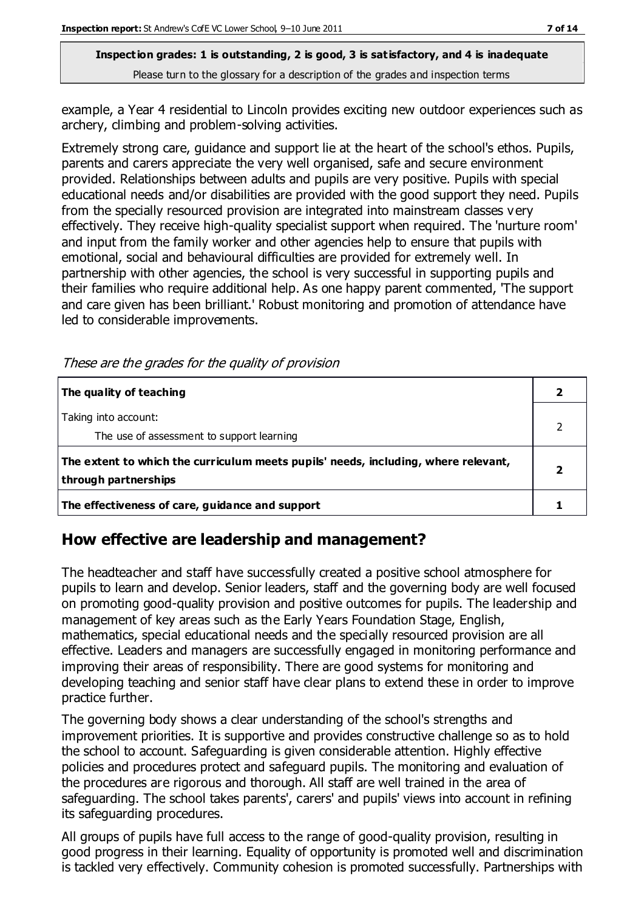example, a Year 4 residential to Lincoln provides exciting new outdoor experiences such as archery, climbing and problem-solving activities.

Extremely strong care, guidance and support lie at the heart of the school's ethos. Pupils, parents and carers appreciate the very well organised, safe and secure environment provided. Relationships between adults and pupils are very positive. Pupils with special educational needs and/or disabilities are provided with the good support they need. Pupils from the specially resourced provision are integrated into mainstream classes v ery effectively. They receive high-quality specialist support when required. The 'nurture room' and input from the family worker and other agencies help to ensure that pupils with emotional, social and behavioural difficulties are provided for extremely well. In partnership with other agencies, the school is very successful in supporting pupils and their families who require additional help. As one happy parent commented, 'The support and care given has been brilliant.' Robust monitoring and promotion of attendance have led to considerable improvements.

| The quality of teaching                                                                                    |  |
|------------------------------------------------------------------------------------------------------------|--|
| Taking into account:<br>The use of assessment to support learning                                          |  |
| The extent to which the curriculum meets pupils' needs, including, where relevant,<br>through partnerships |  |
| The effectiveness of care, guidance and support                                                            |  |

## **How effective are leadership and management?**

The headteacher and staff have successfully created a positive school atmosphere for pupils to learn and develop. Senior leaders, staff and the governing body are well focused on promoting good-quality provision and positive outcomes for pupils. The leadership and management of key areas such as the Early Years Foundation Stage, English, mathematics, special educational needs and the specially resourced provision are all effective. Leaders and managers are successfully engaged in monitoring performance and improving their areas of responsibility. There are good systems for monitoring and developing teaching and senior staff have clear plans to extend these in order to improve practice further.

The governing body shows a clear understanding of the school's strengths and improvement priorities. It is supportive and provides constructive challenge so as to hold the school to account. Safeguarding is given considerable attention. Highly effective policies and procedures protect and safeguard pupils. The monitoring and evaluation of the procedures are rigorous and thorough. All staff are well trained in the area of safeguarding. The school takes parents', carers' and pupils' views into account in refining its safeguarding procedures.

All groups of pupils have full access to the range of good-quality provision, resulting in good progress in their learning. Equality of opportunity is promoted well and discrimination is tackled very effectively. Community cohesion is promoted successfully. Partnerships with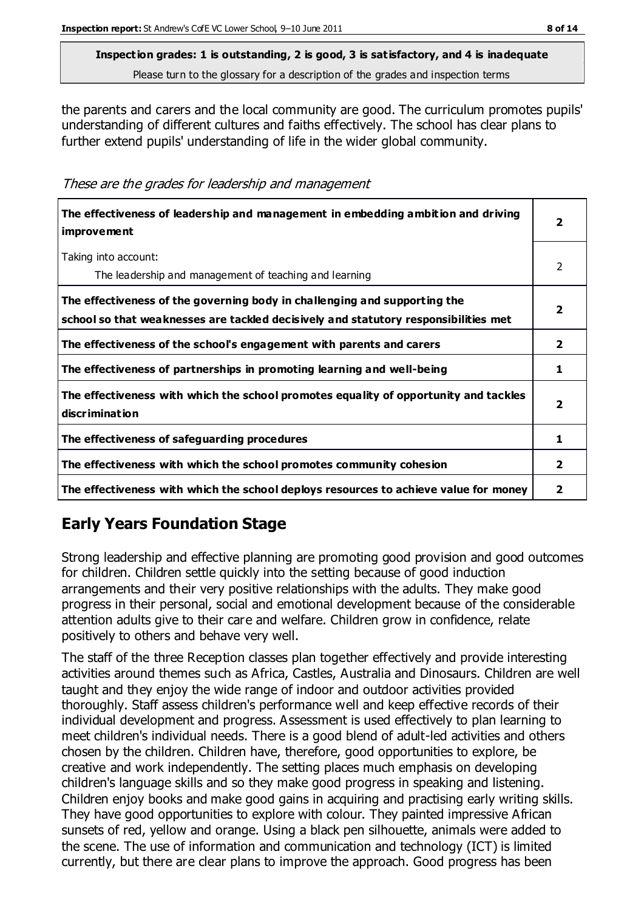the parents and carers and the local community are good. The curriculum promotes pupils' understanding of different cultures and faiths effectively. The school has clear plans to further extend pupils' understanding of life in the wider global community.

These are the grades for leadership and management

| The effectiveness of leadership and management in embedding ambition and driving<br><i>improvement</i>                                                           |                         |
|------------------------------------------------------------------------------------------------------------------------------------------------------------------|-------------------------|
| Taking into account:<br>The leadership and management of teaching and learning                                                                                   | $\mathcal{P}$           |
| The effectiveness of the governing body in challenging and supporting the<br>school so that weaknesses are tackled decisively and statutory responsibilities met | $\overline{\mathbf{2}}$ |
| The effectiveness of the school's engagement with parents and carers                                                                                             | $\mathbf{2}$            |
| The effectiveness of partnerships in promoting learning and well-being                                                                                           | 1                       |
| The effectiveness with which the school promotes equality of opportunity and tackles<br>discrimination                                                           | $\overline{\mathbf{2}}$ |
| The effectiveness of safeguarding procedures                                                                                                                     | 1                       |
| The effectiveness with which the school promotes community cohesion                                                                                              | 2                       |
| The effectiveness with which the school deploys resources to achieve value for money                                                                             | 2                       |

## **Early Years Foundation Stage**

Strong leadership and effective planning are promoting good provision and good outcomes for children. Children settle quickly into the setting because of good induction arrangements and their very positive relationships with the adults. They make good progress in their personal, social and emotional development because of the considerable attention adults give to their care and welfare. Children grow in confidence, relate positively to others and behave very well.

The staff of the three Reception classes plan together effectively and provide interesting activities around themes such as Africa, Castles, Australia and Dinosaurs. Children are well taught and they enjoy the wide range of indoor and outdoor activities provided thoroughly. Staff assess children's performance well and keep effective records of their individual development and progress. Assessment is used effectively to plan learning to meet children's individual needs. There is a good blend of adult-led activities and others chosen by the children. Children have, therefore, good opportunities to explore, be creative and work independently. The setting places much emphasis on developing children's language skills and so they make good progress in speaking and listening. Children enjoy books and make good gains in acquiring and practising early writing skills. They have good opportunities to explore with colour. They painted impressive African sunsets of red, yellow and orange. Using a black pen silhouette, animals were added to the scene. The use of information and communication and technology (ICT) is limited currently, but there are clear plans to improve the approach. Good progress has been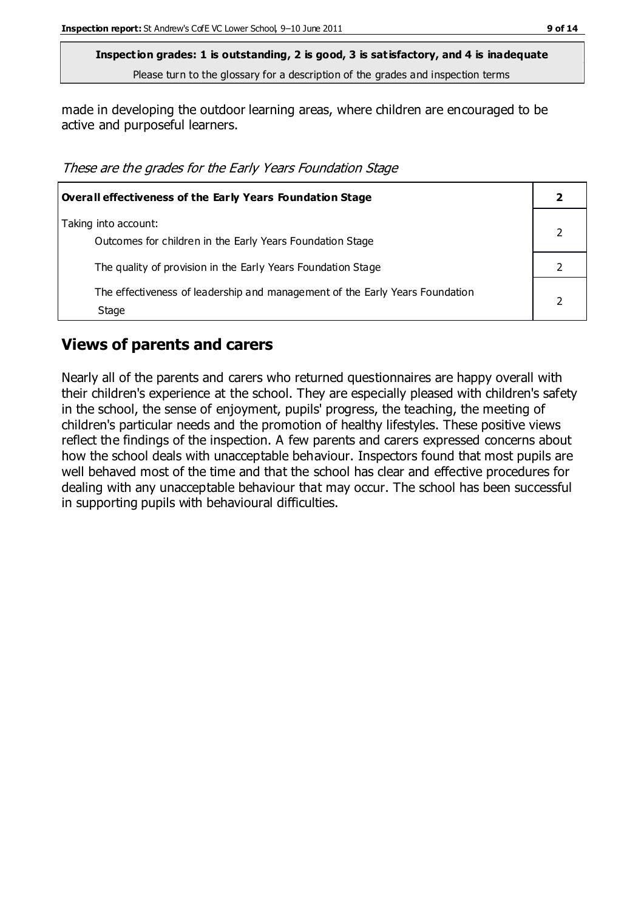made in developing the outdoor learning areas, where children are encouraged to be active and purposeful learners.

These are the grades for the Early Years Foundation Stage

| <b>Overall effectiveness of the Early Years Foundation Stage</b>                      |  |
|---------------------------------------------------------------------------------------|--|
| Taking into account:<br>Outcomes for children in the Early Years Foundation Stage     |  |
| The quality of provision in the Early Years Foundation Stage                          |  |
| The effectiveness of leadership and management of the Early Years Foundation<br>Stage |  |

#### **Views of parents and carers**

Nearly all of the parents and carers who returned questionnaires are happy overall with their children's experience at the school. They are especially pleased with children's safety in the school, the sense of enjoyment, pupils' progress, the teaching, the meeting of children's particular needs and the promotion of healthy lifestyles. These positive views reflect the findings of the inspection. A few parents and carers expressed concerns about how the school deals with unacceptable behaviour. Inspectors found that most pupils are well behaved most of the time and that the school has clear and effective procedures for dealing with any unacceptable behaviour that may occur. The school has been successful in supporting pupils with behavioural difficulties.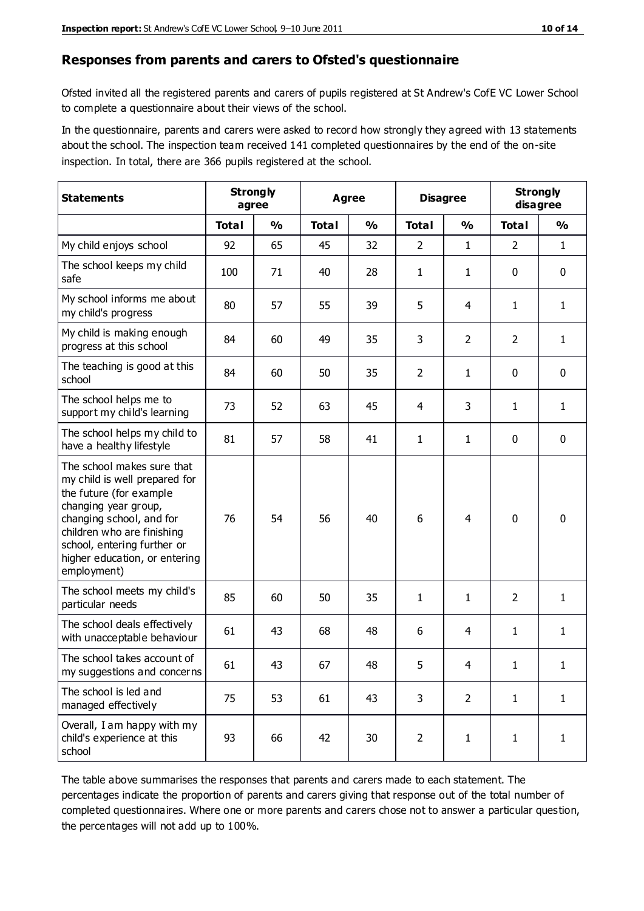#### **Responses from parents and carers to Ofsted's questionnaire**

Ofsted invited all the registered parents and carers of pupils registered at St Andrew's CofE VC Lower School to complete a questionnaire about their views of the school.

In the questionnaire, parents and carers were asked to record how strongly they agreed with 13 statements about the school. The inspection team received 141 completed questionnaires by the end of the on-site inspection. In total, there are 366 pupils registered at the school.

| <b>Statements</b>                                                                                                                                                                                                                                       | <b>Strongly</b><br>agree |               | <b>Agree</b> |               | <b>Disagree</b> |                | <b>Strongly</b><br>disagree |               |
|---------------------------------------------------------------------------------------------------------------------------------------------------------------------------------------------------------------------------------------------------------|--------------------------|---------------|--------------|---------------|-----------------|----------------|-----------------------------|---------------|
|                                                                                                                                                                                                                                                         | <b>Total</b>             | $\frac{0}{0}$ | <b>Total</b> | $\frac{0}{0}$ | <b>Total</b>    | $\frac{0}{0}$  | <b>Total</b>                | $\frac{1}{2}$ |
| My child enjoys school                                                                                                                                                                                                                                  | 92                       | 65            | 45           | 32            | $\overline{2}$  | $\mathbf{1}$   | 2                           | $\mathbf{1}$  |
| The school keeps my child<br>safe                                                                                                                                                                                                                       | 100                      | 71            | 40           | 28            | 1               | $\mathbf{1}$   | $\mathbf 0$                 | $\mathbf 0$   |
| My school informs me about<br>my child's progress                                                                                                                                                                                                       | 80                       | 57            | 55           | 39            | 5               | 4              | $\mathbf{1}$                | $\mathbf{1}$  |
| My child is making enough<br>progress at this school                                                                                                                                                                                                    | 84                       | 60            | 49           | 35            | 3               | $\overline{2}$ | $\overline{2}$              | 1             |
| The teaching is good at this<br>school                                                                                                                                                                                                                  | 84                       | 60            | 50           | 35            | $\overline{2}$  | $\mathbf{1}$   | $\mathbf 0$                 | $\mathbf 0$   |
| The school helps me to<br>support my child's learning                                                                                                                                                                                                   | 73                       | 52            | 63           | 45            | 4               | 3              | 1                           | $\mathbf{1}$  |
| The school helps my child to<br>have a healthy lifestyle                                                                                                                                                                                                | 81                       | 57            | 58           | 41            | 1               | $\mathbf{1}$   | $\mathbf 0$                 | $\mathbf 0$   |
| The school makes sure that<br>my child is well prepared for<br>the future (for example<br>changing year group,<br>changing school, and for<br>children who are finishing<br>school, entering further or<br>higher education, or entering<br>employment) | 76                       | 54            | 56           | 40            | 6               | 4              | $\mathbf 0$                 | $\mathbf 0$   |
| The school meets my child's<br>particular needs                                                                                                                                                                                                         | 85                       | 60            | 50           | 35            | 1               | $\mathbf{1}$   | 2                           | 1             |
| The school deals effectively<br>with unacceptable behaviour                                                                                                                                                                                             | 61                       | 43            | 68           | 48            | 6               | 4              | 1                           | $\mathbf{1}$  |
| The school takes account of<br>my suggestions and concerns                                                                                                                                                                                              | 61                       | 43            | 67           | 48            | 5               | 4              | 1                           | 1             |
| The school is led and<br>managed effectively                                                                                                                                                                                                            | 75                       | 53            | 61           | 43            | 3               | $\overline{2}$ | $\mathbf{1}$                | $\mathbf{1}$  |
| Overall, I am happy with my<br>child's experience at this<br>school                                                                                                                                                                                     | 93                       | 66            | 42           | 30            | $\overline{2}$  | $\mathbf{1}$   | $\mathbf{1}$                | $\mathbf{1}$  |

The table above summarises the responses that parents and carers made to each statement. The percentages indicate the proportion of parents and carers giving that response out of the total number of completed questionnaires. Where one or more parents and carers chose not to answer a particular question, the percentages will not add up to 100%.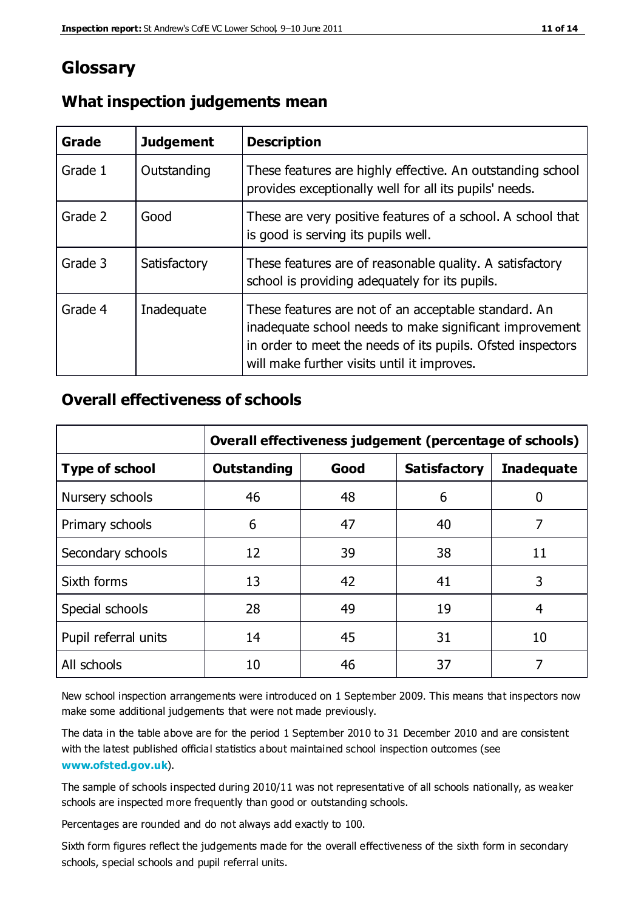## **Glossary**

| Grade   | <b>Judgement</b> | <b>Description</b>                                                                                                                                                                                                            |
|---------|------------------|-------------------------------------------------------------------------------------------------------------------------------------------------------------------------------------------------------------------------------|
| Grade 1 | Outstanding      | These features are highly effective. An outstanding school<br>provides exceptionally well for all its pupils' needs.                                                                                                          |
| Grade 2 | Good             | These are very positive features of a school. A school that<br>is good is serving its pupils well.                                                                                                                            |
| Grade 3 | Satisfactory     | These features are of reasonable quality. A satisfactory<br>school is providing adequately for its pupils.                                                                                                                    |
| Grade 4 | Inadequate       | These features are not of an acceptable standard. An<br>inadequate school needs to make significant improvement<br>in order to meet the needs of its pupils. Ofsted inspectors<br>will make further visits until it improves. |

#### **What inspection judgements mean**

### **Overall effectiveness of schools**

|                       | Overall effectiveness judgement (percentage of schools) |      |                     |                   |
|-----------------------|---------------------------------------------------------|------|---------------------|-------------------|
| <b>Type of school</b> | <b>Outstanding</b>                                      | Good | <b>Satisfactory</b> | <b>Inadequate</b> |
| Nursery schools       | 46                                                      | 48   | 6                   |                   |
| Primary schools       | 6                                                       | 47   | 40                  | 7                 |
| Secondary schools     | 12                                                      | 39   | 38                  | 11                |
| Sixth forms           | 13                                                      | 42   | 41                  | 3                 |
| Special schools       | 28                                                      | 49   | 19                  | 4                 |
| Pupil referral units  | 14                                                      | 45   | 31                  | 10                |
| All schools           | 10                                                      | 46   | 37                  |                   |

New school inspection arrangements were introduced on 1 September 2009. This means that inspectors now make some additional judgements that were not made previously.

The data in the table above are for the period 1 September 2010 to 31 December 2010 and are consistent with the latest published official statistics about maintained school inspection outcomes (see **[www.ofsted.gov.uk](http://www.ofsted.gov.uk/)**).

The sample of schools inspected during 2010/11 was not representative of all schools nationally, as weaker schools are inspected more frequently than good or outstanding schools.

Percentages are rounded and do not always add exactly to 100.

Sixth form figures reflect the judgements made for the overall effectiveness of the sixth form in secondary schools, special schools and pupil referral units.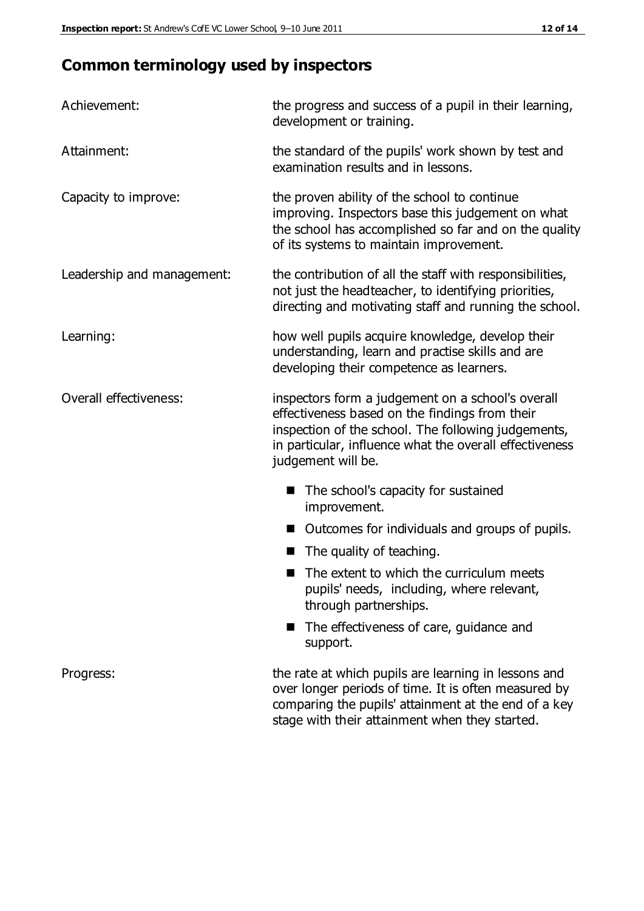# **Common terminology used by inspectors**

| Achievement:               | the progress and success of a pupil in their learning,<br>development or training.                                                                                                                                                          |
|----------------------------|---------------------------------------------------------------------------------------------------------------------------------------------------------------------------------------------------------------------------------------------|
| Attainment:                | the standard of the pupils' work shown by test and<br>examination results and in lessons.                                                                                                                                                   |
| Capacity to improve:       | the proven ability of the school to continue<br>improving. Inspectors base this judgement on what<br>the school has accomplished so far and on the quality<br>of its systems to maintain improvement.                                       |
| Leadership and management: | the contribution of all the staff with responsibilities,<br>not just the headteacher, to identifying priorities,<br>directing and motivating staff and running the school.                                                                  |
| Learning:                  | how well pupils acquire knowledge, develop their<br>understanding, learn and practise skills and are<br>developing their competence as learners.                                                                                            |
| Overall effectiveness:     | inspectors form a judgement on a school's overall<br>effectiveness based on the findings from their<br>inspection of the school. The following judgements,<br>in particular, influence what the overall effectiveness<br>judgement will be. |
|                            | The school's capacity for sustained<br>improvement.                                                                                                                                                                                         |
|                            | Outcomes for individuals and groups of pupils.                                                                                                                                                                                              |
|                            | The quality of teaching.                                                                                                                                                                                                                    |
|                            | The extent to which the curriculum meets<br>pupils' needs, including, where relevant,<br>through partnerships.                                                                                                                              |
|                            | The effectiveness of care, guidance and<br>support.                                                                                                                                                                                         |
| Progress:                  | the rate at which pupils are learning in lessons and<br>over longer periods of time. It is often measured by<br>comparing the pupils' attainment at the end of a key                                                                        |

stage with their attainment when they started.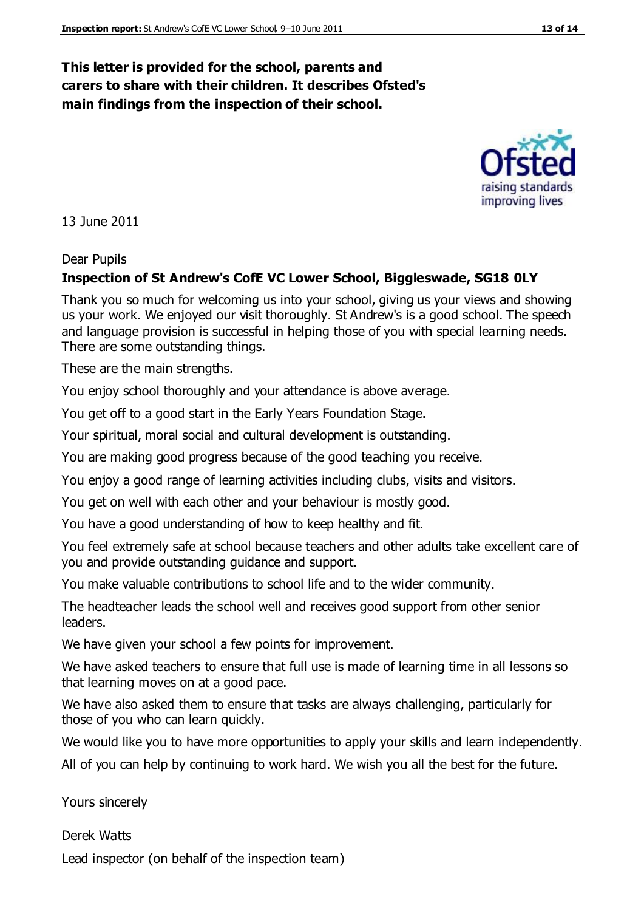#### **This letter is provided for the school, parents and carers to share with their children. It describes Ofsted's main findings from the inspection of their school.**

13 June 2011

#### Dear Pupils

#### **Inspection of St Andrew's CofE VC Lower School, Biggleswade, SG18 0LY**

Thank you so much for welcoming us into your school, giving us your views and showing us your work. We enjoyed our visit thoroughly. St Andrew's is a good school. The speech and language provision is successful in helping those of you with special learning needs. There are some outstanding things.

These are the main strengths.

You enjoy school thoroughly and your attendance is above average.

You get off to a good start in the Early Years Foundation Stage.

Your spiritual, moral social and cultural development is outstanding.

You are making good progress because of the good teaching you receive.

You enjoy a good range of learning activities including clubs, visits and visitors.

You get on well with each other and your behaviour is mostly good.

You have a good understanding of how to keep healthy and fit.

You feel extremely safe at school because teachers and other adults take excellent care of you and provide outstanding guidance and support.

You make valuable contributions to school life and to the wider community.

The headteacher leads the school well and receives good support from other senior leaders.

We have given your school a few points for improvement.

We have asked teachers to ensure that full use is made of learning time in all lessons so that learning moves on at a good pace.

We have also asked them to ensure that tasks are always challenging, particularly for those of you who can learn quickly.

We would like you to have more opportunities to apply your skills and learn independently.

All of you can help by continuing to work hard. We wish you all the best for the future.

Yours sincerely

Derek Watts Lead inspector (on behalf of the inspection team)